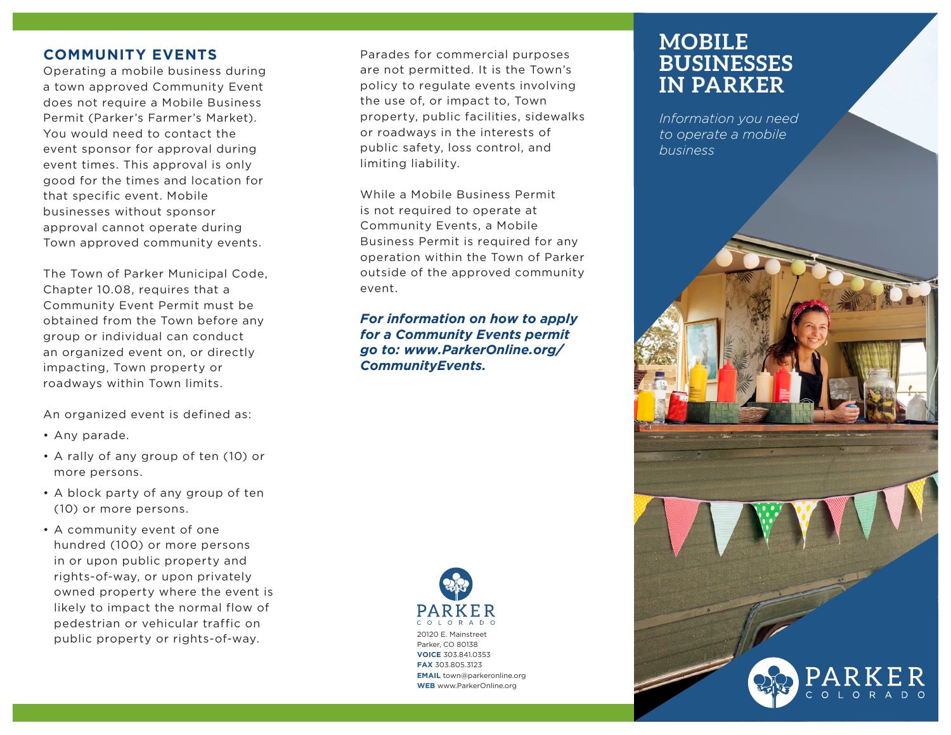## **COMMUNITY EVENTS**

Operating a mobile business during a town approved Community Event does not require a Mobile Business Permit (Parker's Farmer's Market). You would need to contact the event sponsor for approval during event times. This approval is only good for the times and location for that specific event. Mobile businesses without sponsor approval cannot operate during Town approved community events.

The Town of Parker Municipal Code, Chapter 10.08, requires that a Community Event Permit must be obtained from the Town before any group or individual can conduct an organized event on, or directly impacting, Town property or roadways within Town limits.

An organized event is defined as:

- Any parade.
- A rally of any group of ten (10) or more persons.
- A block party of any group of ten (10) or more persons.
- A community event of one hundred (100) or more persons in or upon public property and rights-of-way, or upon privately owned property where the event is likely to impact the normal flow of pedestrian or vehicular traffic on public property or rights-of-way.

Parades for commercial purposes are not permitted. It is the Town's policy to regulate events involving the use of, or impact to, Town property, public facilities, sidewalks or roadways in the interests of public safety, loss control, and limiting liability.

While a Mobile Business Permit is not required to operate at Community Events, a Mobile Business Permit is required for any operation within the Town of Parker outside of the approved community event.

*For information on how to apply for a Community Events permit go to: www.ParkerOnline.org/ CommunityEvents.*



# **MOBILE BUSINESSES IN PARKER**

*Information you need to operate a mobile business*